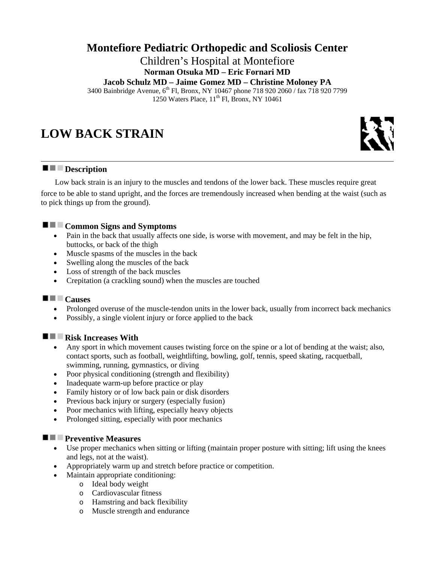# **Montefiore Pediatric Orthopedic and Scoliosis Center**

Children's Hospital at Montefiore **Norman Otsuka MD – Eric Fornari MD**

**Jacob Schulz MD – Jaime Gomez MD – Christine Moloney PA**

3400 Bainbridge Avenue, 6<sup>th</sup> Fl, Bronx, NY 10467 phone 718 920 2060 / fax 718 920 7799 1250 Waters Place,  $11^{th}$  Fl, Bronx, NY 10461

# **LOW BACK STRAIN**

## **Description**

 Low back strain is an injury to the muscles and tendons of the lower back. These muscles require great force to be able to stand upright, and the forces are tremendously increased when bending at the waist (such as to pick things up from the ground).

## **Common Signs and Symptoms**

- Pain in the back that usually affects one side, is worse with movement, and may be felt in the hip, buttocks, or back of the thigh
- Muscle spasms of the muscles in the back
- Swelling along the muscles of the back
- Loss of strength of the back muscles
- Crepitation (a crackling sound) when the muscles are touched

## **Causes**

- Prolonged overuse of the muscle-tendon units in the lower back, usually from incorrect back mechanics
- Possibly, a single violent injury or force applied to the back

# **Risk Increases With**

- Any sport in which movement causes twisting force on the spine or a lot of bending at the waist; also, contact sports, such as football, weightlifting, bowling, golf, tennis, speed skating, racquetball, swimming, running, gymnastics, or diving
- Poor physical conditioning (strength and flexibility)
- Inadequate warm-up before practice or play
- Family history or of low back pain or disk disorders
- Previous back injury or surgery (especially fusion)
- Poor mechanics with lifting, especially heavy objects
- Prolonged sitting, especially with poor mechanics

## **Preventive Measures**

- Use proper mechanics when sitting or lifting (maintain proper posture with sitting; lift using the knees and legs, not at the waist).
- Appropriately warm up and stretch before practice or competition.
- Maintain appropriate conditioning:
	- o Ideal body weight
	- o Cardiovascular fitness
	- o Hamstring and back flexibility
	- o Muscle strength and endurance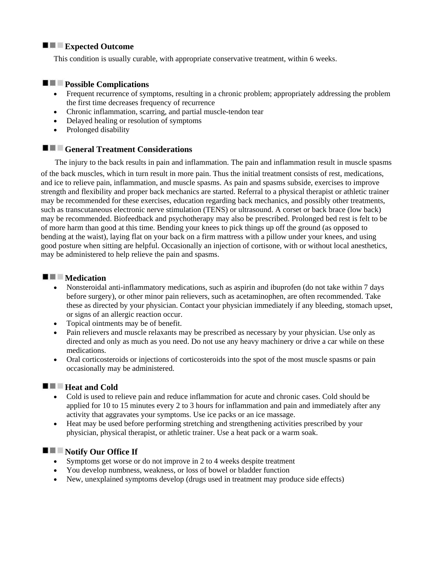## **Expected Outcome**

This condition is usually curable, with appropriate conservative treatment, within 6 weeks.

## **Possible Complications**

- Frequent recurrence of symptoms, resulting in a chronic problem; appropriately addressing the problem the first time decreases frequency of recurrence
- Chronic inflammation, scarring, and partial muscle-tendon tear
- Delayed healing or resolution of symptoms
- Prolonged disability

## **E** General Treatment Considerations

 The injury to the back results in pain and inflammation. The pain and inflammation result in muscle spasms of the back muscles, which in turn result in more pain. Thus the initial treatment consists of rest, medications, and ice to relieve pain, inflammation, and muscle spasms. As pain and spasms subside, exercises to improve strength and flexibility and proper back mechanics are started. Referral to a physical therapist or athletic trainer may be recommended for these exercises, education regarding back mechanics, and possibly other treatments, such as transcutaneous electronic nerve stimulation (TENS) or ultrasound. A corset or back brace (low back) may be recommended. Biofeedback and psychotherapy may also be prescribed. Prolonged bed rest is felt to be of more harm than good at this time. Bending your knees to pick things up off the ground (as opposed to bending at the waist), laying flat on your back on a firm mattress with a pillow under your knees, and using good posture when sitting are helpful. Occasionally an injection of cortisone, with or without local anesthetics, may be administered to help relieve the pain and spasms.

## **Medication**

- Nonsteroidal anti-inflammatory medications, such as aspirin and ibuprofen (do not take within 7 days before surgery), or other minor pain relievers, such as acetaminophen, are often recommended. Take these as directed by your physician. Contact your physician immediately if any bleeding, stomach upset, or signs of an allergic reaction occur.
- Topical ointments may be of benefit.
- Pain relievers and muscle relaxants may be prescribed as necessary by your physician. Use only as directed and only as much as you need. Do not use any heavy machinery or drive a car while on these medications.
- Oral corticosteroids or injections of corticosteroids into the spot of the most muscle spasms or pain occasionally may be administered.

## **Heat and Cold**

- Cold is used to relieve pain and reduce inflammation for acute and chronic cases. Cold should be applied for 10 to 15 minutes every 2 to 3 hours for inflammation and pain and immediately after any activity that aggravates your symptoms. Use ice packs or an ice massage.
- Heat may be used before performing stretching and strengthening activities prescribed by your physician, physical therapist, or athletic trainer. Use a heat pack or a warm soak.

## **Notify Our Office If**

- Symptoms get worse or do not improve in 2 to 4 weeks despite treatment
- You develop numbness, weakness, or loss of bowel or bladder function
- New, unexplained symptoms develop (drugs used in treatment may produce side effects)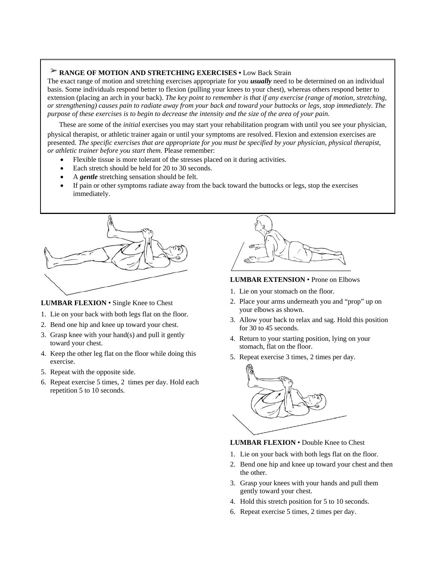### **RANGE OF MOTION AND STRETCHING EXERCISES •** Low Back Strain

The exact range of motion and stretching exercises appropriate for you *usually* need to be determined on an individual basis. Some individuals respond better to flexion (pulling your knees to your chest), whereas others respond better to extension (placing an arch in your back). *The key point to remember is that if any exercise (range of motion, stretching, or strengthening) causes pain to radiate away from your back and toward your buttocks or legs, stop immediately. The purpose of these exercises is to begin to decrease the intensity and the size of the area of your pain.*

These are some of the *initial* exercises you may start your rehabilitation program with until you see your physician,

physical therapist, or athletic trainer again or until your symptoms are resolved. Flexion and extension exercises are presented. *The specific exercises that are appropriate for you must be specified by your physician, physical therapist, or athletic trainer before you start them.* Please remember:

- Flexible tissue is more tolerant of the stresses placed on it during activities.
- Each stretch should be held for 20 to 30 seconds.
- A *gentle* stretching sensation should be felt.
- If pain or other symptoms radiate away from the back toward the buttocks or legs, stop the exercises immediately.

#### **LUMBAR FLEXION** • Single Knee to Chest

- 1. Lie on your back with both legs flat on the floor.
- 2. Bend one hip and knee up toward your chest.
- 3. Grasp knee with your hand(s) and pull it gently toward your chest.
- 4. Keep the other leg flat on the floor while doing this exercise.
- 5. Repeat with the opposite side.
- 6. Repeat exercise 5 times, 2 times per day. Hold each repetition 5 to 10 seconds.



#### **LUMBAR EXTENSION** • Prone on Elbows

- 1. Lie on your stomach on the floor.
- 2. Place your arms underneath you and "prop" up on your elbows as shown.
- 3. Allow your back to relax and sag. Hold this position for 30 to 45 seconds.
- 4. Return to your starting position, lying on your stomach, flat on the floor.
- 5. Repeat exercise 3 times, 2 times per day.



#### **LUMBAR FLEXION** • Double Knee to Chest

- 1. Lie on your back with both legs flat on the floor.
- 2. Bend one hip and knee up toward your chest and then the other.
- 3. Grasp your knees with your hands and pull them gently toward your chest.
- 4. Hold this stretch position for 5 to 10 seconds.
- 6. Repeat exercise 5 times, 2 times per day.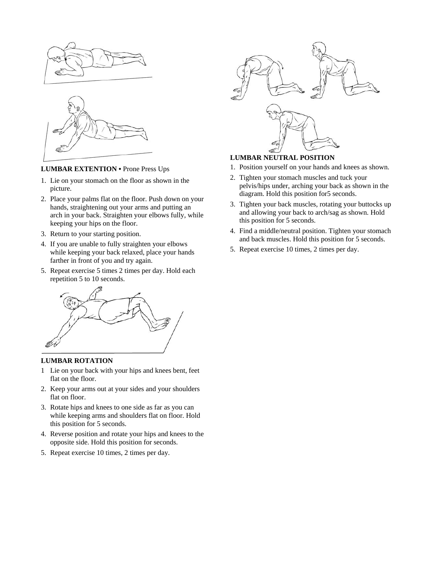



### **LUMBAR EXTENTION** • Prone Press Ups

- 1. Lie on your stomach on the floor as shown in the picture.
- 2. Place your palms flat on the floor. Push down on your hands, straightening out your arms and putting an arch in your back. Straighten your elbows fully, while keeping your hips on the floor.
- 3. Return to your starting position.
- 4. If you are unable to fully straighten your elbows while keeping your back relaxed, place your hands farther in front of you and try again.
- 5. Repeat exercise 5 times 2 times per day. Hold each repetition 5 to 10 seconds.



#### **LUMBAR ROTATION**

- 1 Lie on your back with your hips and knees bent, feet flat on the floor.
- 2. Keep your arms out at your sides and your shoulders flat on floor.
- 3. Rotate hips and knees to one side as far as you can while keeping arms and shoulders flat on floor. Hold this position for 5 seconds.
- 4. Reverse position and rotate your hips and knees to the opposite side. Hold this position for seconds.
- 5. Repeat exercise 10 times, 2 times per day.



## **LUMBAR NEUTRAL POSITION**

- 1. Position yourself on your hands and knees as shown.
- 2. Tighten your stomach muscles and tuck your pelvis/hips under, arching your back as shown in the diagram. Hold this position for5 seconds.
- 3. Tighten your back muscles, rotating your buttocks up and allowing your back to arch/sag as shown. Hold this position for 5 seconds.
- 4. Find a middle/neutral position. Tighten your stomach and back muscles. Hold this position for 5 seconds.
- 5. Repeat exercise 10 times, 2 times per day.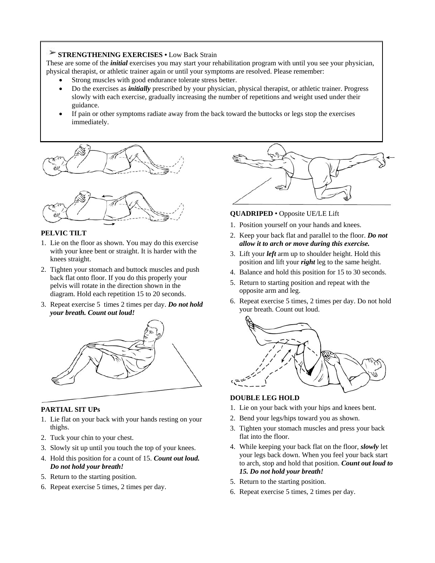## **STRENGTHENING EXERCISES •** Low Back Strain

These are some of the *initial* exercises you may start your rehabilitation program with until you see your physician, physical therapist, or athletic trainer again or until your symptoms are resolved. Please remember:

- Strong muscles with good endurance tolerate stress better.
- Do the exercises as *initially* prescribed by your physician, physical therapist, or athletic trainer. Progress slowly with each exercise, gradually increasing the number of repetitions and weight used under their guidance.
- If pain or other symptoms radiate away from the back toward the buttocks or legs stop the exercises immediately.





#### **PELVIC TILT**

- 1. Lie on the floor as shown. You may do this exercise with your knee bent or straight. It is harder with the knees straight.
- 2. Tighten your stomach and buttock muscles and push back flat onto floor. If you do this properly your pelvis will rotate in the direction shown in the diagram. Hold each repetition 15 to 20 seconds.
- 3. Repeat exercise 5 times 2 times per day. *Do not hold your breath. Count out loud!*



#### **PARTIAL SIT UPs**

- 1. Lie flat on your back with your hands resting on your thighs.
- 2. Tuck your chin to your chest.
- 3. Slowly sit up until you touch the top of your knees.
- 4. Hold this position for a count of 15. *Count out loud. Do not hold your breath!*
- 5. Return to the starting position.
- 6. Repeat exercise 5 times, 2 times per day.



### **QUADRIPED** • Opposite UE/LE Lift

- 1. Position yourself on your hands and knees.
- 2. Keep your back flat and parallel to the floor. *Do not allow it to arch or move during this exercise.*
- 3. Lift your *left* arm up to shoulder height. Hold this position and lift your *right* leg to the same height.
- 4. Balance and hold this position for 15 to 30 seconds.
- 5. Return to starting position and repeat with the opposite arm and leg.
- 6. Repeat exercise 5 times, 2 times per day. Do not hold your breath. Count out loud.



## **DOUBLE LEG HOLD**

- 1. Lie on your back with your hips and knees bent.
- 2. Bend your legs/hips toward you as shown.
- 3. Tighten your stomach muscles and press your back flat into the floor.
- 4. While keeping your back flat on the floor, *slowly* let your legs back down. When you feel your back start to arch, stop and hold that position. *Count out loud to 15. Do not hold your breath!*
- 5. Return to the starting position.
- 6. Repeat exercise 5 times, 2 times per day.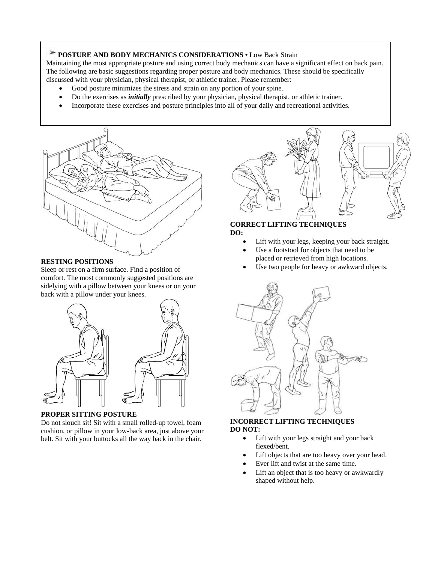# **POSTURE AND BODY MECHANICS CONSIDERATIONS •** Low Back Strain

Maintaining the most appropriate posture and using correct body mechanics can have a significant effect on back pain. The following are basic suggestions regarding proper posture and body mechanics. These should be specifically discussed with your physician, physical therapist, or athletic trainer. Please remember:

- Good posture minimizes the stress and strain on any portion of your spine.
- Do the exercises as *initially* prescribed by your physician, physical therapist, or athletic trainer.
- Incorporate these exercises and posture principles into all of your daily and recreational activities.



#### **RESTING POSITIONS**

Sleep or rest on a firm surface. Find a position of comfort. The most commonly suggested positions are sidelying with a pillow between your knees or on your back with a pillow under your knees.



#### **PROPER SITTING POSTURE**

Do not slouch sit! Sit with a small rolled-up towel, foam cushion, or pillow in your low-back area, just above your belt. Sit with your buttocks all the way back in the chair.



#### **CORRECT LIFTING TECHNIQUES DO:**

- Lift with your legs, keeping your back straight.
- Use a footstool for objects that need to be placed or retrieved from high locations.
- Use two people for heavy or awkward objects.



#### **INCORRECT LIFTING TECHNIQUES DO NOT:**

- Lift with your legs straight and your back flexed/bent.
- Lift objects that are too heavy over your head.
- Ever lift and twist at the same time.
- Lift an object that is too heavy or awkwardly shaped without help.